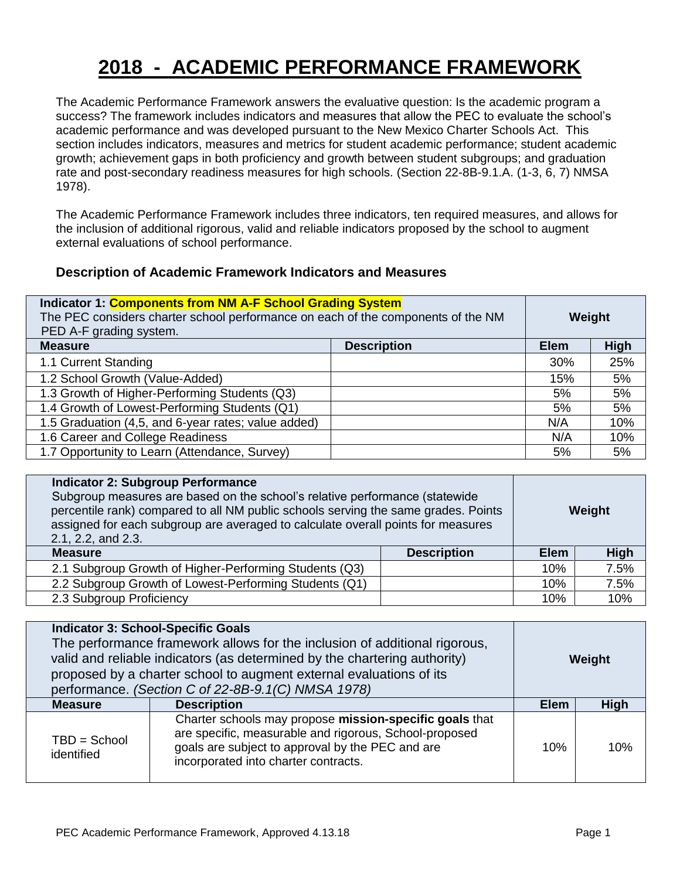## **2018 - ACADEMIC PERFORMANCE FRAMEWORK**

The Academic Performance Framework answers the evaluative question: Is the academic program a success? The framework includes indicators and measures that allow the PEC to evaluate the school's academic performance and was developed pursuant to the New Mexico Charter Schools Act. This section includes indicators, measures and metrics for student academic performance; student academic growth; achievement gaps in both proficiency and growth between student subgroups; and graduation rate and post-secondary readiness measures for high schools. (Section 22-8B-9.1.A. (1-3, 6, 7) NMSA 1978).

The Academic Performance Framework includes three indicators, ten required measures, and allows for the inclusion of additional rigorous, valid and reliable indicators proposed by the school to augment external evaluations of school performance.

## **Description of Academic Framework Indicators and Measures**

| Indicator 1: Components from NM A-F School Grading System                        |                    |             |             |  |
|----------------------------------------------------------------------------------|--------------------|-------------|-------------|--|
| The PEC considers charter school performance on each of the components of the NM |                    | Weight      |             |  |
| PED A-F grading system.                                                          |                    |             |             |  |
| <b>Measure</b>                                                                   | <b>Description</b> | <b>Elem</b> | <b>High</b> |  |
| 1.1 Current Standing                                                             |                    | 30%         | 25%         |  |
| 1.2 School Growth (Value-Added)                                                  |                    | 15%         | 5%          |  |
| 1.3 Growth of Higher-Performing Students (Q3)                                    |                    | 5%          | 5%          |  |
| 1.4 Growth of Lowest-Performing Students (Q1)                                    |                    | 5%          | 5%          |  |
| 1.5 Graduation (4,5, and 6-year rates; value added)                              |                    | N/A         | 10%         |  |
| 1.6 Career and College Readiness                                                 |                    | N/A         | 10%         |  |
| 1.7 Opportunity to Learn (Attendance, Survey)                                    |                    | 5%          | 5%          |  |

| <b>Indicator 2: Subgroup Performance</b><br>Subgroup measures are based on the school's relative performance (statewide<br>percentile rank) compared to all NM public schools serving the same grades. Points<br>assigned for each subgroup are averaged to calculate overall points for measures<br>2.1, 2.2, and 2.3. |                    | Weight      |      |
|-------------------------------------------------------------------------------------------------------------------------------------------------------------------------------------------------------------------------------------------------------------------------------------------------------------------------|--------------------|-------------|------|
| <b>Measure</b>                                                                                                                                                                                                                                                                                                          | <b>Description</b> | <b>Elem</b> | High |
| 2.1 Subgroup Growth of Higher-Performing Students (Q3)                                                                                                                                                                                                                                                                  |                    | 10%         | 7.5% |
| 2.2 Subgroup Growth of Lowest-Performing Students (Q1)                                                                                                                                                                                                                                                                  |                    | 10%         | 7.5% |
| 2.3 Subgroup Proficiency                                                                                                                                                                                                                                                                                                |                    | 10%         | 10%  |

| <b>Indicator 3: School-Specific Goals</b><br>The performance framework allows for the inclusion of additional rigorous,<br>valid and reliable indicators (as determined by the chartering authority)<br>proposed by a charter school to augment external evaluations of its<br>performance. (Section C of 22-8B-9.1(C) NMSA 1978) |                                                                                                                                                                                                               | Weight      |             |
|-----------------------------------------------------------------------------------------------------------------------------------------------------------------------------------------------------------------------------------------------------------------------------------------------------------------------------------|---------------------------------------------------------------------------------------------------------------------------------------------------------------------------------------------------------------|-------------|-------------|
| <b>Measure</b>                                                                                                                                                                                                                                                                                                                    | <b>Description</b>                                                                                                                                                                                            | <b>Elem</b> | <b>High</b> |
| $TBD = School$<br>identified                                                                                                                                                                                                                                                                                                      | Charter schools may propose mission-specific goals that<br>are specific, measurable and rigorous, School-proposed<br>goals are subject to approval by the PEC and are<br>incorporated into charter contracts. | 10%         | 10%         |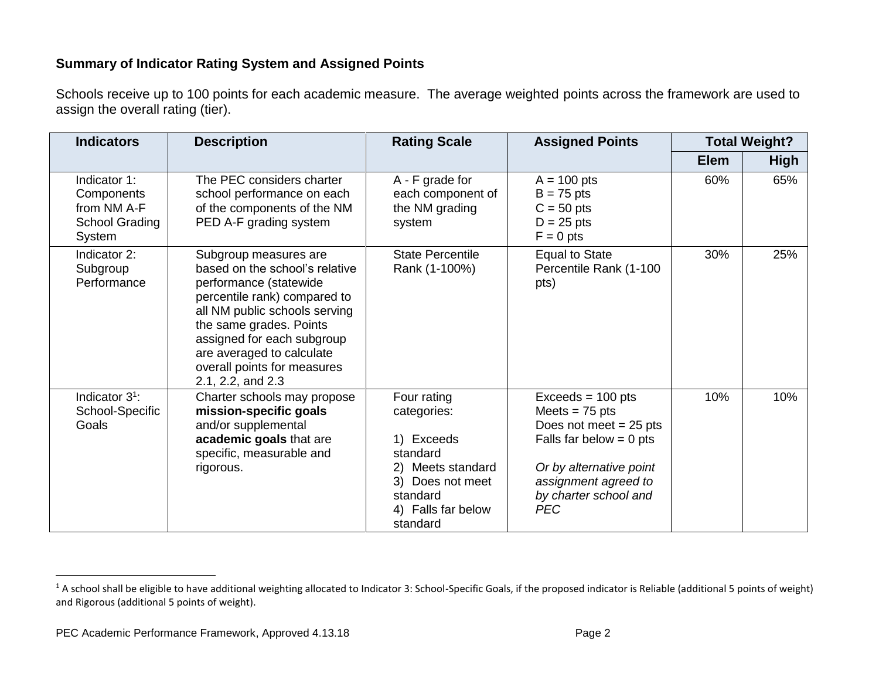## **Summary of Indicator Rating System and Assigned Points**

Schools receive up to 100 points for each academic measure. The average weighted points across the framework are used to assign the overall rating (tier).

| <b>Indicators</b>                                                            | <b>Description</b>                                                                                                                                                                                                                                                                           | <b>Rating Scale</b>                                                                                                                         | <b>Assigned Points</b>                                                                                                                                                                     |             | <b>Total Weight?</b> |
|------------------------------------------------------------------------------|----------------------------------------------------------------------------------------------------------------------------------------------------------------------------------------------------------------------------------------------------------------------------------------------|---------------------------------------------------------------------------------------------------------------------------------------------|--------------------------------------------------------------------------------------------------------------------------------------------------------------------------------------------|-------------|----------------------|
|                                                                              |                                                                                                                                                                                                                                                                                              |                                                                                                                                             |                                                                                                                                                                                            | <b>Elem</b> | <b>High</b>          |
| Indicator 1:<br>Components<br>from NM A-F<br><b>School Grading</b><br>System | The PEC considers charter<br>school performance on each<br>of the components of the NM<br>PED A-F grading system                                                                                                                                                                             | A - F grade for<br>each component of<br>the NM grading<br>system                                                                            | $A = 100$ pts<br>$B = 75$ pts<br>$C = 50$ pts<br>$D = 25$ pts<br>$F = 0$ pts                                                                                                               | 60%         | 65%                  |
| Indicator 2:<br>Subgroup<br>Performance                                      | Subgroup measures are<br>based on the school's relative<br>performance (statewide<br>percentile rank) compared to<br>all NM public schools serving<br>the same grades. Points<br>assigned for each subgroup<br>are averaged to calculate<br>overall points for measures<br>2.1, 2.2, and 2.3 | <b>State Percentile</b><br>Rank (1-100%)                                                                                                    | <b>Equal to State</b><br>Percentile Rank (1-100<br>pts)                                                                                                                                    | 30%         | 25%                  |
| Indicator 3 <sup>1</sup> :<br>School-Specific<br>Goals                       | Charter schools may propose<br>mission-specific goals<br>and/or supplemental<br>academic goals that are<br>specific, measurable and<br>rigorous.                                                                                                                                             | Four rating<br>categories:<br>1) Exceeds<br>standard<br>2) Meets standard<br>3) Does not meet<br>standard<br>4) Falls far below<br>standard | $Exceeds = 100 pts$<br>Meets = $75$ pts<br>Does not meet $= 25$ pts<br>Falls far below = $0$ pts<br>Or by alternative point<br>assignment agreed to<br>by charter school and<br><b>PEC</b> | 10%         | 10%                  |

 $\overline{a}$ 

<sup>&</sup>lt;sup>1</sup> A school shall be eligible to have additional weighting allocated to Indicator 3: School-Specific Goals, if the proposed indicator is Reliable (additional 5 points of weight) and Rigorous (additional 5 points of weight).